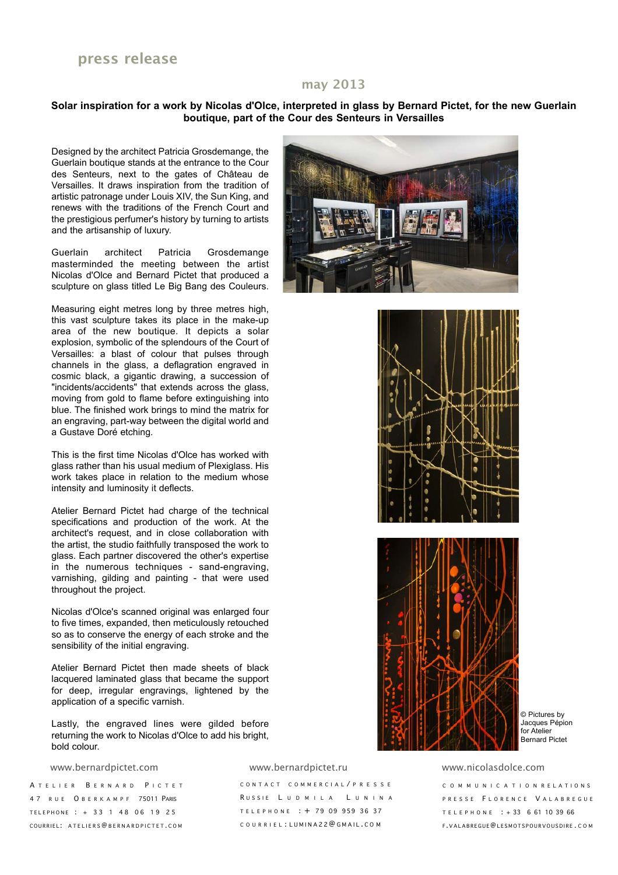### **may 2013**

#### **Solar inspiration for a work by Nicolas d'Olce, interpreted in glass by Bernard Pictet, for the new Guerlain boutique, part of the Cour des Senteurs in Versailles**

Designed by the architect Patricia Grosdemange, the Guerlain boutique stands at the entrance to the Cour des Senteurs, next to the gates of Château de Versailles. It draws inspiration from the tradition of artistic patronage under Louis XIV, the Sun King, and renews with the traditions of the French Court and the prestigious perfumer's history by turning to artists and the artisanship of luxury.

Guerlain architect Patricia Grosdemange masterminded the meeting between the artist Nicolas d'Olce and Bernard Pictet that produced a sculpture on glass titled Le Big Bang des Couleurs.

Measuring eight metres long by three metres high, this vast sculpture takes its place in the make-up area of the new boutique. It depicts a solar explosion, symbolic of the splendours of the Court of Versailles: a blast of colour that pulses through channels in the glass, a deflagration engraved in cosmic black, a gigantic drawing, a succession of "incidents/accidents" that extends across the glass, moving from gold to flame before extinguishing into blue. The finished work brings to mind the matrix for an engraving, part-way between the digital world and a Gustave Doré etching.

This is the first time Nicolas d'Olce has worked with glass rather than his usual medium of Plexiglass. His work takes place in relation to the medium whose intensity and luminosity it deflects.

Atelier Bernard Pictet had charge of the technical specifications and production of the work. At the architect's request, and in close collaboration with the artist, the studio faithfully transposed the work to glass. Each partner discovered the other's expertise in the numerous techniques - sand-engraving, varnishing, gilding and painting - that were used throughout the project.

Nicolas d'Olce's scanned original was enlarged four to five times, expanded, then meticulously retouched so as to conserve the energy of each stroke and the sensibility of the initial engraving.

Atelier Bernard Pictet then made sheets of black lacquered laminated glass that became the support for deep, irregular engravings, lightened by the application of a specific varnish.

Lastly, the engraved lines were gilded before returning the work to Nicolas d'Olce to add his bright, bold colour.

A TELIER BERNARD PICTET 47 RUE O BERKAMPF 75011 PARIS TELEPHONE : + 33 1 48 06 19 25 COURRIEL : ATELIERS@BERNARDPICTET . COM

www.bernardpictet.com www.bernardpictet.ru www.nicolasdolce.com

CONTACT COMMERCIAL / PRESSE RUSSIE LUDMILA LUNINA TELEPHONE : + 79 09 959 36 37 COURRIEL : LUMINA 22@GMAIL . C O M







© Pictures by Jacques Pépion for Atelier Bernard Pictet

COMMUNICATION R ELATIONS PRESSE FLORENCE VALABREGUE TELEPHONE : + 33 6 61 10 39 66 F.VALABREGUE@LESMOTSPOURVOUSDIR E . COM